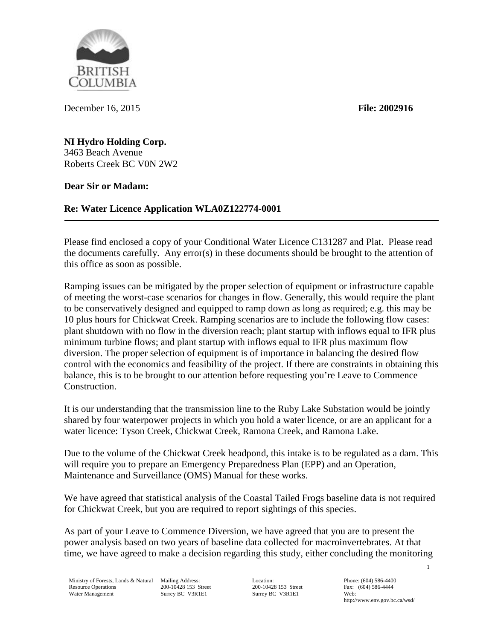British **OLUMBIA** 

December 16, 2015 **File: 2002916**

**NI Hydro Holding Corp.** 3463 Beach Avenue Roberts Creek BC V0N 2W2

**Dear Sir or Madam:**

**Re: Water Licence Application WLA0Z122774-0001**

Please find enclosed a copy of your Conditional Water Licence C131287 and Plat. Please read the documents carefully. Any error(s) in these documents should be brought to the attention of this office as soon as possible.

Ramping issues can be mitigated by the proper selection of equipment or infrastructure capable of meeting the worst-case scenarios for changes in flow. Generally, this would require the plant to be conservatively designed and equipped to ramp down as long as required; e.g. this may be 10 plus hours for Chickwat Creek. Ramping scenarios are to include the following flow cases: plant shutdown with no flow in the diversion reach; plant startup with inflows equal to IFR plus minimum turbine flows; and plant startup with inflows equal to IFR plus maximum flow diversion. The proper selection of equipment is of importance in balancing the desired flow control with the economics and feasibility of the project. If there are constraints in obtaining this balance, this is to be brought to our attention before requesting you're Leave to Commence Construction.

It is our understanding that the transmission line to the Ruby Lake Substation would be jointly shared by four waterpower projects in which you hold a water licence, or are an applicant for a water licence: Tyson Creek, Chickwat Creek, Ramona Creek, and Ramona Lake.

Due to the volume of the Chickwat Creek headpond, this intake is to be regulated as a dam. This will require you to prepare an Emergency Preparedness Plan (EPP) and an Operation, Maintenance and Surveillance (OMS) Manual for these works.

We have agreed that statistical analysis of the Coastal Tailed Frogs baseline data is not required for Chickwat Creek, but you are required to report sightings of this species.

As part of your Leave to Commence Diversion, we have agreed that you are to present the power analysis based on two years of baseline data collected for macroinvertebrates. At that time, we have agreed to make a decision regarding this study, either concluding the monitoring

1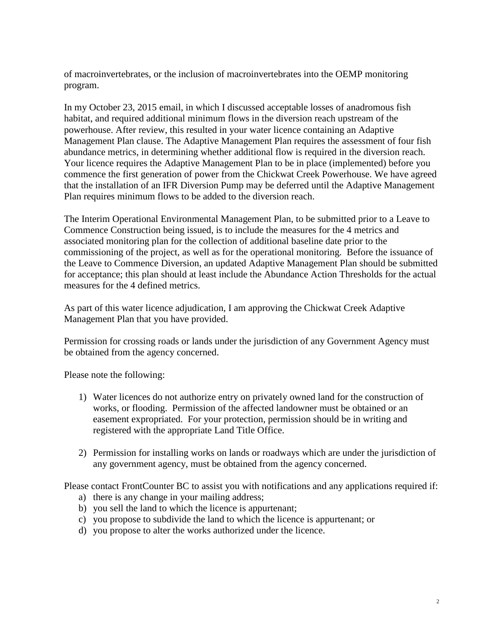of macroinvertebrates, or the inclusion of macroinvertebrates into the OEMP monitoring program.

In my October 23, 2015 email, in which I discussed acceptable losses of anadromous fish habitat, and required additional minimum flows in the diversion reach upstream of the powerhouse. After review, this resulted in your water licence containing an Adaptive Management Plan clause. The Adaptive Management Plan requires the assessment of four fish abundance metrics, in determining whether additional flow is required in the diversion reach. Your licence requires the Adaptive Management Plan to be in place (implemented) before you commence the first generation of power from the Chickwat Creek Powerhouse. We have agreed that the installation of an IFR Diversion Pump may be deferred until the Adaptive Management Plan requires minimum flows to be added to the diversion reach.

The Interim Operational Environmental Management Plan, to be submitted prior to a Leave to Commence Construction being issued, is to include the measures for the 4 metrics and associated monitoring plan for the collection of additional baseline date prior to the commissioning of the project, as well as for the operational monitoring. Before the issuance of the Leave to Commence Diversion, an updated Adaptive Management Plan should be submitted for acceptance; this plan should at least include the Abundance Action Thresholds for the actual measures for the 4 defined metrics.

As part of this water licence adjudication, I am approving the Chickwat Creek Adaptive Management Plan that you have provided.

Permission for crossing roads or lands under the jurisdiction of any Government Agency must be obtained from the agency concerned.

Please note the following:

- 1) Water licences do not authorize entry on privately owned land for the construction of works, or flooding. Permission of the affected landowner must be obtained or an easement expropriated. For your protection, permission should be in writing and registered with the appropriate Land Title Office.
- 2) Permission for installing works on lands or roadways which are under the jurisdiction of any government agency, must be obtained from the agency concerned.

Please contact FrontCounter BC to assist you with notifications and any applications required if:

- a) there is any change in your mailing address;
- b) you sell the land to which the licence is appurtenant;
- c) you propose to subdivide the land to which the licence is appurtenant; or
- d) you propose to alter the works authorized under the licence.